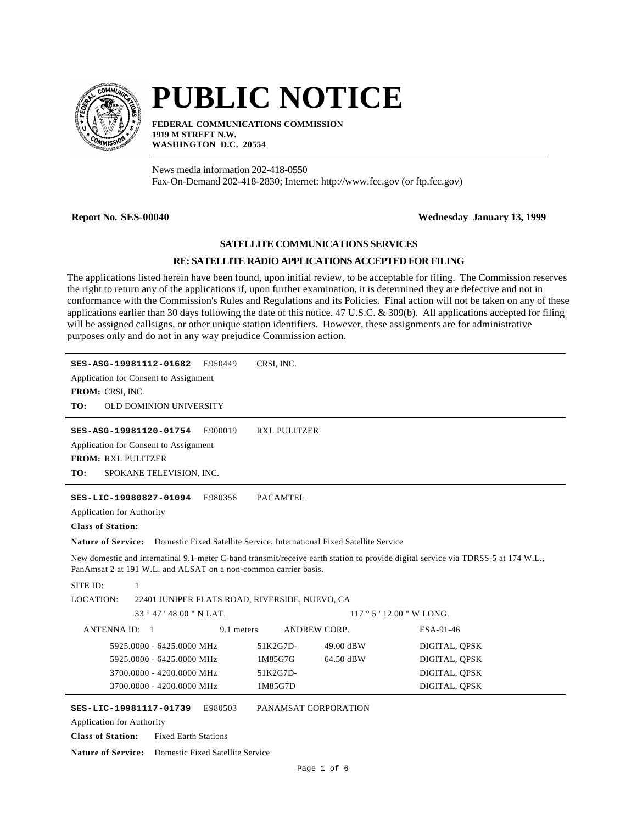

# **PUBLIC NOTICE**

**FEDERAL COMMUNICATIONS COMMISSION 1919 M STREET N.W. WASHINGTON D.C. 20554**

News media information 202-418-0550 Fax-On-Demand 202-418-2830; Internet: http://www.fcc.gov (or ftp.fcc.gov)

## **Report No. SES-00040 Wednesday January 13, 1999**

#### **SATELLITE COMMUNICATIONS SERVICES**

### **RE: SATELLITE RADIO APPLICATIONS ACCEPTED FOR FILING**

The applications listed herein have been found, upon initial review, to be acceptable for filing. The Commission reserves the right to return any of the applications if, upon further examination, it is determined they are defective and not in conformance with the Commission's Rules and Regulations and its Policies. Final action will not be taken on any of these applications earlier than 30 days following the date of this notice. 47 U.S.C. & 309(b). All applications accepted for filing will be assigned callsigns, or other unique station identifiers. However, these assignments are for administrative purposes only and do not in any way prejudice Commission action.

| SES-ASG-19981112-01682<br>E950449<br>Application for Consent to Assignment<br>FROM: CRSI, INC.<br>TO:<br>OLD DOMINION UNIVERSITY                                                                                                                                                                                                                                  | CRSI, INC.              |               |  |  |
|-------------------------------------------------------------------------------------------------------------------------------------------------------------------------------------------------------------------------------------------------------------------------------------------------------------------------------------------------------------------|-------------------------|---------------|--|--|
| E900019<br>SES-ASG-19981120-01754<br>Application for Consent to Assignment<br><b>FROM: RXL PULITZER</b><br>TO:<br>SPOKANE TELEVISION, INC.                                                                                                                                                                                                                        | <b>RXL PULITZER</b>     |               |  |  |
| E980356<br><b>PACAMTEL</b><br>SES-LIC-19980827-01094<br><b>Application for Authority</b><br><b>Class of Station:</b><br>Domestic Fixed Satellite Service, International Fixed Satellite Service<br><b>Nature of Service:</b><br>New domestic and internatinal 9.1-meter C-band transmit/receive earth station to provide digital service via TDRSS-5 at 174 W.L., |                         |               |  |  |
| PanAmsat 2 at 191 W.L. and ALSAT on a non-common carrier basis.                                                                                                                                                                                                                                                                                                   |                         |               |  |  |
| SITE ID:<br>1                                                                                                                                                                                                                                                                                                                                                     |                         |               |  |  |
| LOCATION:<br>22401 JUNIPER FLATS ROAD, RIVERSIDE, NUEVO, CA                                                                                                                                                                                                                                                                                                       |                         |               |  |  |
| $33^{\circ}47'48.00''$ N LAT.                                                                                                                                                                                                                                                                                                                                     | $117°5'12.00''$ W LONG. |               |  |  |
| ANTENNA ID: 1<br>9.1 meters                                                                                                                                                                                                                                                                                                                                       | <b>ANDREW CORP.</b>     | ESA-91-46     |  |  |
| 5925,0000 - 6425,0000 MHz                                                                                                                                                                                                                                                                                                                                         | 51K2G7D-<br>49.00 dBW   | DIGITAL, QPSK |  |  |
| 5925,0000 - 6425,0000 MHz                                                                                                                                                                                                                                                                                                                                         | 1M85G7G<br>64.50 dBW    | DIGITAL, OPSK |  |  |
| 3700.0000 - 4200.0000 MHz                                                                                                                                                                                                                                                                                                                                         | 51K2G7D-                | DIGITAL, QPSK |  |  |
| 3700.0000 - 4200.0000 MHz                                                                                                                                                                                                                                                                                                                                         | 1M85G7D                 | DIGITAL, QPSK |  |  |
| E980503<br>SES-LIC-19981117-01739                                                                                                                                                                                                                                                                                                                                 | PANAMSAT CORPORATION    |               |  |  |

Application for Authority

**Class of Station:** Fixed Earth Stations

**Nature of Service:** Domestic Fixed Satellite Service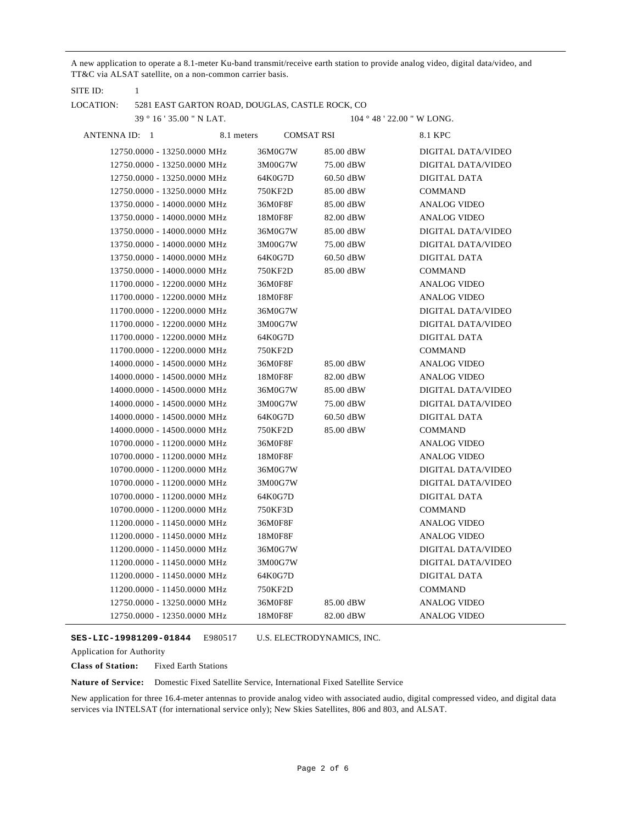A new application to operate a 8.1-meter Ku-band transmit/receive earth station to provide analog video, digital data/video, and TT&C via ALSAT satellite, on a non-common carrier basis.

| LOCATION:     |                             |            | 5281 EAST GARTON ROAD, DOUGLAS, CASTLE ROCK, CO |                   |                            |
|---------------|-----------------------------|------------|-------------------------------------------------|-------------------|----------------------------|
|               | 39 ° 16 ' 35.00 " N LAT.    |            |                                                 |                   | 104 ° 48 ' 22.00 " W LONG. |
| ANTENNA ID: 1 |                             | 8.1 meters |                                                 | <b>COMSAT RSI</b> | 8.1 KPC                    |
|               | 12750.0000 - 13250.0000 MHz |            | 36M0G7W                                         | 85.00 dBW         | DIGITAL DATA/VIDEO         |
|               | 12750.0000 - 13250.0000 MHz |            | 3M00G7W                                         | 75.00 dBW         | DIGITAL DATA/VIDEO         |
|               | 12750.0000 - 13250.0000 MHz |            | 64K0G7D                                         | $60.50$ dBW       | DIGITAL DATA               |
|               | 12750.0000 - 13250.0000 MHz |            | 750KF2D                                         | 85.00 dBW         | <b>COMMAND</b>             |
|               | 13750.0000 - 14000.0000 MHz |            | 36M0F8F                                         | 85.00 dBW         | <b>ANALOG VIDEO</b>        |
|               | 13750.0000 - 14000.0000 MHz |            | 18M0F8F                                         | 82.00 dBW         | <b>ANALOG VIDEO</b>        |
|               | 13750.0000 - 14000.0000 MHz |            | 36M0G7W                                         | 85.00 dBW         | DIGITAL DATA/VIDEO         |
|               | 13750.0000 - 14000.0000 MHz |            | 3M00G7W                                         | 75.00 dBW         | DIGITAL DATA/VIDEO         |
|               | 13750.0000 - 14000.0000 MHz |            | 64K0G7D                                         | 60.50 dBW         | <b>DIGITAL DATA</b>        |
|               | 13750.0000 - 14000.0000 MHz |            | 750KF2D                                         | 85.00 dBW         | <b>COMMAND</b>             |
|               | 11700.0000 - 12200.0000 MHz |            | 36M0F8F                                         |                   | <b>ANALOG VIDEO</b>        |
|               | 11700.0000 - 12200.0000 MHz |            | 18M0F8F                                         |                   | <b>ANALOG VIDEO</b>        |
|               | 11700.0000 - 12200.0000 MHz |            | 36M0G7W                                         |                   | DIGITAL DATA/VIDEO         |
|               | 11700.0000 - 12200.0000 MHz |            | 3M00G7W                                         |                   | DIGITAL DATA/VIDEO         |
|               | 11700.0000 - 12200.0000 MHz |            | 64K0G7D                                         |                   | <b>DIGITAL DATA</b>        |
|               | 11700.0000 - 12200.0000 MHz |            | 750KF2D                                         |                   | <b>COMMAND</b>             |
|               | 14000.0000 - 14500.0000 MHz |            | 36M0F8F                                         | 85.00 dBW         | <b>ANALOG VIDEO</b>        |
|               | 14000.0000 - 14500.0000 MHz |            | 18M0F8F                                         | 82.00 dBW         | <b>ANALOG VIDEO</b>        |
|               | 14000.0000 - 14500.0000 MHz |            | 36M0G7W                                         | 85.00 dBW         | DIGITAL DATA/VIDEO         |
|               | 14000.0000 - 14500.0000 MHz |            | 3M00G7W                                         | 75.00 dBW         | DIGITAL DATA/VIDEO         |
|               | 14000.0000 - 14500.0000 MHz |            | 64K0G7D                                         | 60.50 dBW         | DIGITAL DATA               |
|               | 14000.0000 - 14500.0000 MHz |            | 750KF2D                                         | 85.00 dBW         | <b>COMMAND</b>             |
|               | 10700.0000 - 11200.0000 MHz |            | 36M0F8F                                         |                   | <b>ANALOG VIDEO</b>        |
|               | 10700.0000 - 11200.0000 MHz |            | 18M0F8F                                         |                   | <b>ANALOG VIDEO</b>        |
|               | 10700.0000 - 11200.0000 MHz |            | 36M0G7W                                         |                   | DIGITAL DATA/VIDEO         |
|               | 10700.0000 - 11200.0000 MHz |            | 3M00G7W                                         |                   | DIGITAL DATA/VIDEO         |
|               | 10700.0000 - 11200.0000 MHz |            | 64K0G7D                                         |                   | DIGITAL DATA               |
|               | 10700.0000 - 11200.0000 MHz |            | 750KF3D                                         |                   | <b>COMMAND</b>             |
|               | 11200.0000 - 11450.0000 MHz |            | 36M0F8F                                         |                   | <b>ANALOG VIDEO</b>        |
|               | 11200.0000 - 11450.0000 MHz |            | 18M0F8F                                         |                   | <b>ANALOG VIDEO</b>        |
|               | 11200.0000 - 11450.0000 MHz |            | 36M0G7W                                         |                   | DIGITAL DATA/VIDEO         |
|               | 11200.0000 - 11450.0000 MHz |            | 3M00G7W                                         |                   | DIGITAL DATA/VIDEO         |
|               | 11200.0000 - 11450.0000 MHz |            | 64K0G7D                                         |                   | <b>DIGITAL DATA</b>        |
|               | 11200.0000 - 11450.0000 MHz |            | 750KF2D                                         |                   | <b>COMMAND</b>             |
|               | 12750.0000 - 13250.0000 MHz |            | 36M0F8F                                         | 85.00 dBW         | <b>ANALOG VIDEO</b>        |
|               | 12750.0000 - 12350.0000 MHz |            | 18M0F8F                                         | 82.00 dBW         | <b>ANALOG VIDEO</b>        |

E980517 **SES-LIC-19981209-01844** U.S. ELECTRODYNAMICS, INC.

Application for Authority

SITE ID: 1

**Class of Station:** Fixed Earth Stations

**Nature of Service:** Domestic Fixed Satellite Service, International Fixed Satellite Service

New application for three 16.4-meter antennas to provide analog video with associated audio, digital compressed video, and digital data services via INTELSAT (for international service only); New Skies Satellites, 806 and 803, and ALSAT.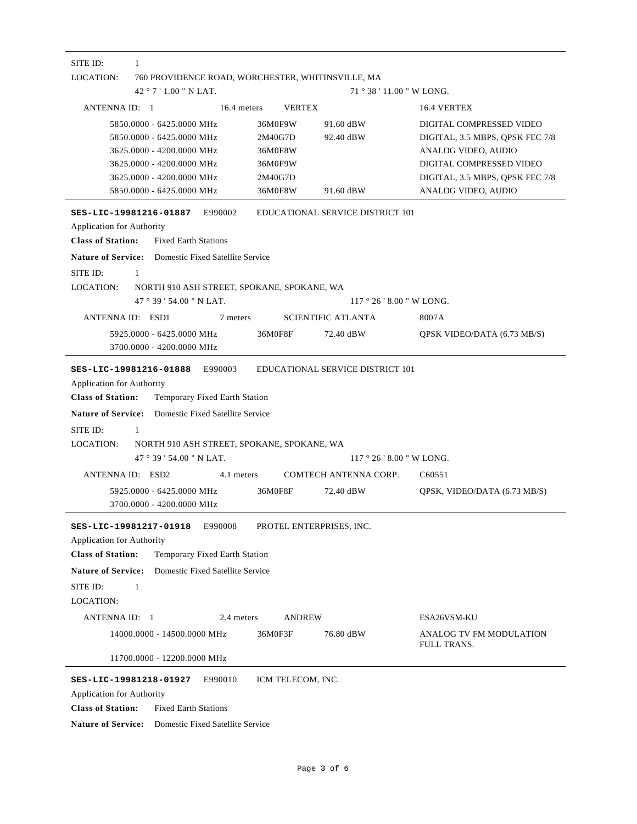| SITE ID:<br>1                                                                                                                                                              |                                                                |                                         |                                                                                                                                                                          |
|----------------------------------------------------------------------------------------------------------------------------------------------------------------------------|----------------------------------------------------------------|-----------------------------------------|--------------------------------------------------------------------------------------------------------------------------------------------------------------------------|
| LOCATION:<br>760 PROVIDENCE ROAD, WORCHESTER, WHITINSVILLE, MA                                                                                                             |                                                                |                                         |                                                                                                                                                                          |
| $42°7'1.00''$ N LAT.                                                                                                                                                       |                                                                | 71 ° 38 ' 11.00 " W LONG.               |                                                                                                                                                                          |
| ANTENNA ID: 1<br>16.4 meters                                                                                                                                               | <b>VERTEX</b>                                                  |                                         | 16.4 VERTEX                                                                                                                                                              |
| 5850.0000 - 6425.0000 MHz<br>5850.0000 - 6425.0000 MHz<br>3625.0000 - 4200.0000 MHz<br>3625,0000 - 4200,0000 MHz<br>3625.0000 - 4200.0000 MHz<br>5850.0000 - 6425.0000 MHz | 36M0F9W<br>2M40G7D<br>36M0F8W<br>36M0F9W<br>2M40G7D<br>36M0F8W | 91.60 dBW<br>92.40 dBW<br>91.60 dBW     | DIGITAL COMPRESSED VIDEO<br>DIGITAL, 3.5 MBPS, QPSK FEC 7/8<br>ANALOG VIDEO, AUDIO<br>DIGITAL COMPRESSED VIDEO<br>DIGITAL, 3.5 MBPS, QPSK FEC 7/8<br>ANALOG VIDEO, AUDIO |
| SES-LIC-19981216-01887<br>E990002                                                                                                                                          |                                                                | <b>EDUCATIONAL SERVICE DISTRICT 101</b> |                                                                                                                                                                          |
| Application for Authority                                                                                                                                                  |                                                                |                                         |                                                                                                                                                                          |
| <b>Class of Station:</b><br><b>Fixed Earth Stations</b>                                                                                                                    |                                                                |                                         |                                                                                                                                                                          |
| <b>Nature of Service:</b> Domestic Fixed Satellite Service                                                                                                                 |                                                                |                                         |                                                                                                                                                                          |
| SITE ID:<br>1                                                                                                                                                              |                                                                |                                         |                                                                                                                                                                          |
| <b>LOCATION:</b><br>NORTH 910 ASH STREET, SPOKANE, SPOKANE, WA                                                                                                             |                                                                |                                         |                                                                                                                                                                          |
| 47°39'54.00" N LAT.                                                                                                                                                        |                                                                | $117°26'8.00''$ W LONG.                 |                                                                                                                                                                          |
| ANTENNA ID: ESD1<br>7 meters                                                                                                                                               |                                                                | <b>SCIENTIFIC ATLANTA</b>               | 8007A                                                                                                                                                                    |
| 5925,0000 - 6425,0000 MHz                                                                                                                                                  | 36M0F8F                                                        | 72.40 dBW                               | QPSK VIDEO/DATA (6.73 MB/S)                                                                                                                                              |
| 3700.0000 - 4200.0000 MHz                                                                                                                                                  |                                                                |                                         |                                                                                                                                                                          |
| E990003<br>SES-LIC-19981216-01888<br>Application for Authority<br><b>Class of Station:</b><br>Temporary Fixed Earth Station                                                |                                                                | <b>EDUCATIONAL SERVICE DISTRICT 101</b> |                                                                                                                                                                          |
| <b>Nature of Service:</b> Domestic Fixed Satellite Service                                                                                                                 |                                                                |                                         |                                                                                                                                                                          |
| SITE ID:                                                                                                                                                                   |                                                                |                                         |                                                                                                                                                                          |
| 1<br><b>LOCATION:</b><br>NORTH 910 ASH STREET, SPOKANE, SPOKANE, WA                                                                                                        |                                                                |                                         |                                                                                                                                                                          |
| 47 ° 39 ' 54.00 " N LAT.                                                                                                                                                   |                                                                | $117°26'8.00''$ W LONG.                 |                                                                                                                                                                          |
| ANTENNA ID: ESD2<br>4.1 meters                                                                                                                                             |                                                                | COMTECH ANTENNA CORP.                   | C <sub>6</sub> 0551                                                                                                                                                      |
| 5925,0000 - 6425,0000 MHz                                                                                                                                                  | 36M0F8F                                                        | 72.40 dBW                               | QPSK, VIDEO/DATA (6.73 MB/S)                                                                                                                                             |
| 3700.0000 - 4200.0000 MHz                                                                                                                                                  |                                                                |                                         |                                                                                                                                                                          |
| SES-LIC-19981217-01918<br>E990008                                                                                                                                          | PROTEL ENTERPRISES, INC.                                       |                                         |                                                                                                                                                                          |
| <b>Application for Authority</b>                                                                                                                                           |                                                                |                                         |                                                                                                                                                                          |
| <b>Class of Station:</b><br>Temporary Fixed Earth Station                                                                                                                  |                                                                |                                         |                                                                                                                                                                          |
| <b>Nature of Service:</b><br>Domestic Fixed Satellite Service                                                                                                              |                                                                |                                         |                                                                                                                                                                          |
| SITE ID:<br>$\mathbf{1}$                                                                                                                                                   |                                                                |                                         |                                                                                                                                                                          |
| <b>LOCATION:</b>                                                                                                                                                           |                                                                |                                         |                                                                                                                                                                          |
| ANTENNA ID: 1<br>2.4 meters                                                                                                                                                | <b>ANDREW</b>                                                  |                                         | ESA26VSM-KU                                                                                                                                                              |
| 14000.0000 - 14500.0000 MHz                                                                                                                                                | 36M0F3F                                                        | 76.80 dBW                               | ANALOG TV FM MODULATION                                                                                                                                                  |
| 11700.0000 - 12200.0000 MHz                                                                                                                                                |                                                                |                                         | FULL TRANS.                                                                                                                                                              |
| E990010<br>SES-LIC-19981218-01927                                                                                                                                          | ICM TELECOM, INC.                                              |                                         |                                                                                                                                                                          |
| Application for Authority                                                                                                                                                  |                                                                |                                         |                                                                                                                                                                          |
| <b>Class of Station:</b><br><b>Fixed Earth Stations</b>                                                                                                                    |                                                                |                                         |                                                                                                                                                                          |
| <b>Nature of Service:</b><br>Domestic Fixed Satellite Service                                                                                                              |                                                                |                                         |                                                                                                                                                                          |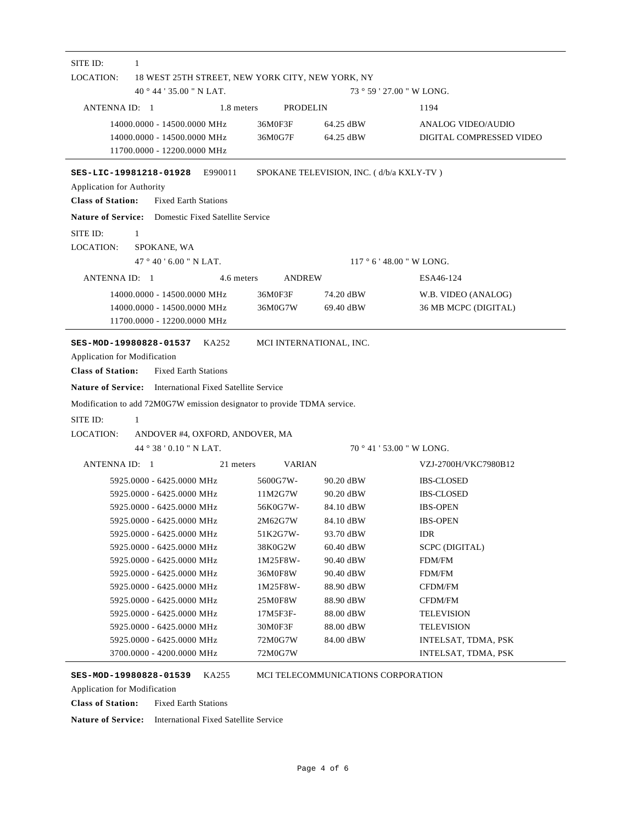| $40^{\circ}$ 44 ' 35.00 " N LAT.                                                                                                                                                                                             | 18 WEST 25TH STREET, NEW YORK CITY, NEW YORK, NY |                                          | 73 ° 59 ' 27.00 " W LONG.                             |
|------------------------------------------------------------------------------------------------------------------------------------------------------------------------------------------------------------------------------|--------------------------------------------------|------------------------------------------|-------------------------------------------------------|
| ANTENNA ID: 1                                                                                                                                                                                                                | 1.8 meters<br>PRODELIN                           |                                          | 1194                                                  |
| 14000.0000 - 14500.0000 MHz<br>14000.0000 - 14500.0000 MHz<br>11700.0000 - 12200.0000 MHz                                                                                                                                    | 36M0F3F<br>36M0G7F                               | 64.25 dBW<br>64.25 dBW                   | <b>ANALOG VIDEO/AUDIO</b><br>DIGITAL COMPRESSED VIDEO |
| SES-LIC-19981218-01928<br>E990011<br>Application for Authority<br><b>Class of Station:</b><br><b>Fixed Earth Stations</b>                                                                                                    |                                                  | SPOKANE TELEVISION, INC. (d/b/a KXLY-TV) |                                                       |
| <b>Nature of Service:</b> Domestic Fixed Satellite Service                                                                                                                                                                   |                                                  |                                          |                                                       |
| SITE ID:<br>1<br>LOCATION:<br>SPOKANE, WA                                                                                                                                                                                    |                                                  |                                          |                                                       |
| 47°40'6.00" N LAT.                                                                                                                                                                                                           |                                                  |                                          | $117°6'$ 48.00 " W LONG.                              |
| ANTENNA ID: 1                                                                                                                                                                                                                | 4.6 meters<br><b>ANDREW</b>                      |                                          | ESA46-124                                             |
| 14000.0000 - 14500.0000 MHz<br>14000.0000 - 14500.0000 MHz<br>11700.0000 - 12200.0000 MHz                                                                                                                                    | 36M0F3F<br>36M0G7W                               | 74.20 dBW<br>69.40 dBW                   | W.B. VIDEO (ANALOG)<br>36 MB MCPC (DIGITAL)           |
| KA252<br><b>Fixed Earth Stations</b>                                                                                                                                                                                         |                                                  | MCI INTERNATIONAL, INC.                  |                                                       |
| SES-MOD-19980828-01537<br>1<br>ANDOVER #4, OXFORD, ANDOVER, MA<br>44°38'0.10" N LAT.                                                                                                                                         |                                                  |                                          |                                                       |
| ANTENNA ID: 1                                                                                                                                                                                                                |                                                  |                                          | 70 ° 41 ' 53.00 " W LONG.                             |
|                                                                                                                                                                                                                              | 21 meters<br><b>VARIAN</b>                       |                                          | VZJ-2700H/VKC7980B12                                  |
| 5925.0000 - 6425.0000 MHz<br>5925.0000 - 6425.0000 MHz                                                                                                                                                                       | 5600G7W-<br>11M2G7W                              | 90.20 dBW<br>90.20 dBW                   | <b>IBS-CLOSED</b><br><b>IBS-CLOSED</b>                |
| 5925.0000 - 6425.0000 MHz                                                                                                                                                                                                    | 56K0G7W-                                         | 84.10 dBW                                | <b>IBS-OPEN</b>                                       |
| 5925.0000 - 6425.0000 MHz                                                                                                                                                                                                    | 2M62G7W                                          | 84.10 dBW                                | <b>IBS-OPEN</b>                                       |
| <b>Class of Station:</b><br>SITE ID:<br>5925.0000 - 6425.0000 MHz                                                                                                                                                            | 51K2G7W-                                         | 93.70 dBW                                | <b>IDR</b>                                            |
| 5925.0000 - 6425.0000 MHz                                                                                                                                                                                                    | 38K0G2W                                          | $60.40$ dBW                              | SCPC (DIGITAL)                                        |
| 5925.0000 - 6425.0000 MHz                                                                                                                                                                                                    | 1M25F8W-                                         | 90.40 dBW                                | FDM/FM                                                |
| 5925.0000 - 6425.0000 MHz                                                                                                                                                                                                    | 36M0F8W                                          | 90.40 dBW                                | FDM/FM                                                |
| 5925.0000 - 6425.0000 MHz                                                                                                                                                                                                    | 1M25F8W-                                         | 88.90 dBW                                | CFDM/FM                                               |
| 5925.0000 - 6425.0000 MHz                                                                                                                                                                                                    | 25M0F8W                                          | 88.90 dBW                                | CFDM/FM                                               |
| Application for Modification<br><b>Nature of Service:</b> International Fixed Satellite Service<br>Modification to add 72M0G7W emission designator to provide TDMA service.<br><b>LOCATION:</b><br>5925.0000 - 6425.0000 MHz | 17M5F3F-                                         | 88.00 dBW                                | <b>TELEVISION</b>                                     |
| 5925.0000 - 6425.0000 MHz<br>5925.0000 - 6425.0000 MHz                                                                                                                                                                       | 30M0F3F<br>72M0G7W                               | 88.00 dBW<br>84.00 dBW                   | <b>TELEVISION</b><br>INTELSAT, TDMA, PSK              |

Application for Modification

**Class of Station:** Fixed Earth Stations

**Nature of Service:** International Fixed Satellite Service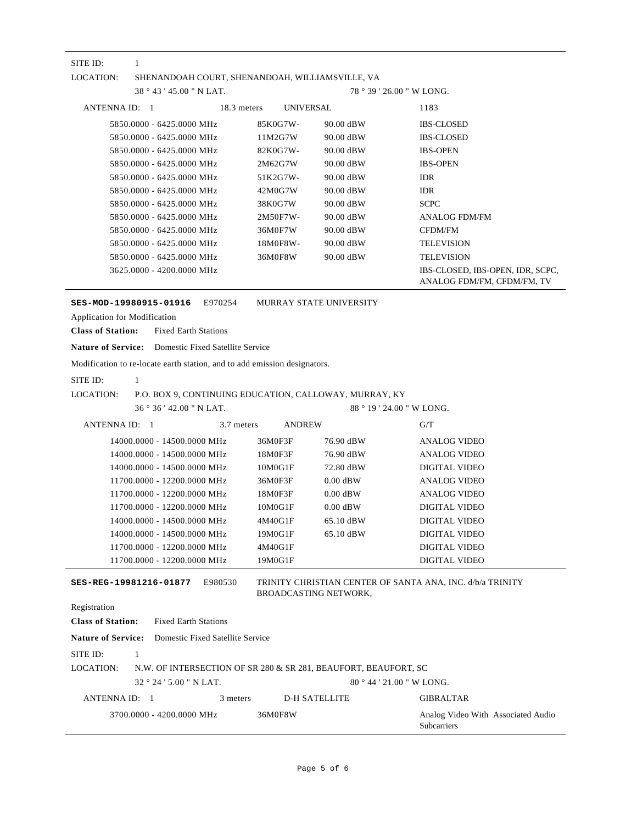| SITE ID:<br>1                                                                |                         |                           |                                                           |
|------------------------------------------------------------------------------|-------------------------|---------------------------|-----------------------------------------------------------|
| LOCATION:<br>SHENANDOAH COURT, SHENANDOAH, WILLIAMSVILLE, VA                 |                         |                           |                                                           |
| 38°43'45.00" N LAT.                                                          |                         | $78°39'26.00"$ W LONG.    |                                                           |
| ANTENNA ID: 1<br>18.3 meters                                                 | UNIVERSAL               |                           | 1183                                                      |
| 5850.0000 - 6425.0000 MHz                                                    | 85K0G7W-                | 90.00 dBW                 | <b>IBS-CLOSED</b>                                         |
| 5850.0000 - 6425.0000 MHz                                                    | 11M2G7W                 | 90.00 dBW                 | <b>IBS-CLOSED</b>                                         |
| 5850.0000 - 6425.0000 MHz                                                    | 82K0G7W-                | 90.00 dBW                 | <b>IBS-OPEN</b>                                           |
| 5850.0000 - 6425.0000 MHz                                                    | 2M62G7W                 | 90.00 dBW                 | <b>IBS-OPEN</b>                                           |
| 5850.0000 - 6425.0000 MHz                                                    | 51K2G7W-                | 90.00 dBW                 | <b>IDR</b>                                                |
| 5850,0000 - 6425,0000 MHz                                                    | 42M0G7W                 | 90.00 dBW                 | <b>IDR</b>                                                |
| 5850.0000 - 6425.0000 MHz                                                    | 38K0G7W                 | 90.00 dBW                 | <b>SCPC</b>                                               |
| 5850.0000 - 6425.0000 MHz                                                    | 2M50F7W-                | 90.00 dBW                 | <b>ANALOG FDM/FM</b>                                      |
| 5850.0000 - 6425.0000 MHz                                                    | 36M0F7W                 | 90.00 dBW                 | CFDM/FM                                                   |
| 5850.0000 - 6425.0000 MHz                                                    | 18M0F8W-                | 90.00 dBW                 | <b>TELEVISION</b>                                         |
| 5850,0000 - 6425,0000 MHz                                                    | 36M0F8W                 | 90.00 dBW                 | <b>TELEVISION</b>                                         |
| 3625.0000 - 4200.0000 MHz                                                    |                         |                           | IBS-CLOSED, IBS-OPEN, IDR, SCPC,                          |
|                                                                              |                         |                           | ANALOG FDM/FM, CFDM/FM, TV                                |
| SES-MOD-19980915-01916<br>E970254                                            | MURRAY STATE UNIVERSITY |                           |                                                           |
| <b>Application for Modification</b>                                          |                         |                           |                                                           |
| <b>Class of Station:</b><br><b>Fixed Earth Stations</b>                      |                         |                           |                                                           |
| <b>Nature of Service:</b> Domestic Fixed Satellite Service                   |                         |                           |                                                           |
| Modification to re-locate earth station, and to add emission designators.    |                         |                           |                                                           |
|                                                                              |                         |                           |                                                           |
| SITE ID:<br>$\mathbf{1}$                                                     |                         |                           |                                                           |
| LOCATION:<br>P.O. BOX 9, CONTINUING EDUCATION, CALLOWAY, MURRAY, KY          |                         |                           |                                                           |
| 36°36'42.00" N LAT.                                                          |                         | 88 ° 19 ' 24.00 " W LONG. |                                                           |
| ANTENNA ID: 1<br>3.7 meters                                                  | <b>ANDREW</b>           |                           | G/T                                                       |
| 14000.0000 - 14500.0000 MHz                                                  | 36M0F3F                 | 76.90 dBW                 | <b>ANALOG VIDEO</b>                                       |
| 14000.0000 - 14500.0000 MHz                                                  | 18M0F3F                 | 76.90 dBW                 | <b>ANALOG VIDEO</b>                                       |
| 14000.0000 - 14500.0000 MHz                                                  | 10M0G1F                 | 72.80 dBW                 | <b>DIGITAL VIDEO</b>                                      |
| 11700.0000 - 12200.0000 MHz                                                  | 36M0F3F                 | $0.00$ dBW                | <b>ANALOG VIDEO</b>                                       |
| 11700.0000 - 12200.0000 MHz                                                  | 18M0F3F                 | $0.00$ dBW                | <b>ANALOG VIDEO</b>                                       |
| 11700.0000 - 12200.0000 MHz                                                  | 10M0G1F                 | $0.00$ dBW                | <b>DIGITAL VIDEO</b>                                      |
| 14000.0000 - 14500.0000 MHz                                                  | 4M40G1F                 | 65.10 dBW                 | <b>DIGITAL VIDEO</b>                                      |
| 14000.0000 - 14500.0000 MHz                                                  | 19M0G1F                 | 65.10 dBW                 | <b>DIGITAL VIDEO</b>                                      |
| 11700.0000 - 12200.0000 MHz                                                  | 4M40G1F                 |                           | <b>DIGITAL VIDEO</b>                                      |
| 11700.0000 - 12200.0000 MHz                                                  | 19M0G1F                 |                           | <b>DIGITAL VIDEO</b>                                      |
| E980530<br>SES-REG-19981216-01877                                            | BROADCASTING NETWORK,   |                           | TRINITY CHRISTIAN CENTER OF SANTA ANA, INC. d/b/a TRINITY |
| Registration                                                                 |                         |                           |                                                           |
| <b>Class of Station:</b><br><b>Fixed Earth Stations</b>                      |                         |                           |                                                           |
| <b>Nature of Service:</b><br>Domestic Fixed Satellite Service                |                         |                           |                                                           |
|                                                                              |                         |                           |                                                           |
|                                                                              |                         |                           |                                                           |
| SITE ID:<br>1                                                                |                         |                           |                                                           |
| LOCATION:<br>N.W. OF INTERSECTION OF SR 280 & SR 281, BEAUFORT, BEAUFORT, SC |                         |                           |                                                           |
| $32^{\circ} 24' 5.00''$ N LAT.                                               |                         | 80 ° 44 ' 21.00 " W LONG. |                                                           |
| ANTENNA ID: 1<br>3 meters                                                    | <b>D-H SATELLITE</b>    |                           | <b>GIBRALTAR</b>                                          |